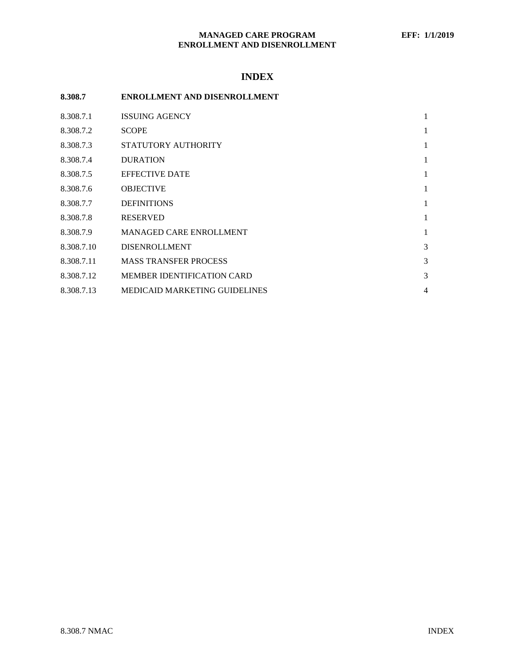# **INDEX**

| . <i></i>  |                                   |                |
|------------|-----------------------------------|----------------|
| 8.308.7    | ENROLLMENT AND DISENROLLMENT      |                |
| 8.308.7.1  | <b>ISSUING AGENCY</b>             | 1              |
| 8.308.7.2  | <b>SCOPE</b>                      | 1              |
| 8.308.7.3  | STATUTORY AUTHORITY               | 1              |
| 8.308.7.4  | <b>DURATION</b>                   | 1              |
| 8.308.7.5  | <b>EFFECTIVE DATE</b>             | 1              |
| 8.308.7.6  | <b>OBJECTIVE</b>                  | 1              |
| 8.308.7.7  | <b>DEFINITIONS</b>                | 1              |
| 8.308.7.8  | <b>RESERVED</b>                   | 1              |
| 8.308.7.9  | MANAGED CARE ENROLLMENT           | 1              |
| 8.308.7.10 | <b>DISENROLLMENT</b>              | 3              |
| 8.308.7.11 | <b>MASS TRANSFER PROCESS</b>      | 3              |
| 8.308.7.12 | <b>MEMBER IDENTIFICATION CARD</b> | 3              |
| 8.308.7.13 | MEDICAID MARKETING GUIDELINES     | $\overline{4}$ |
|            |                                   |                |
|            |                                   |                |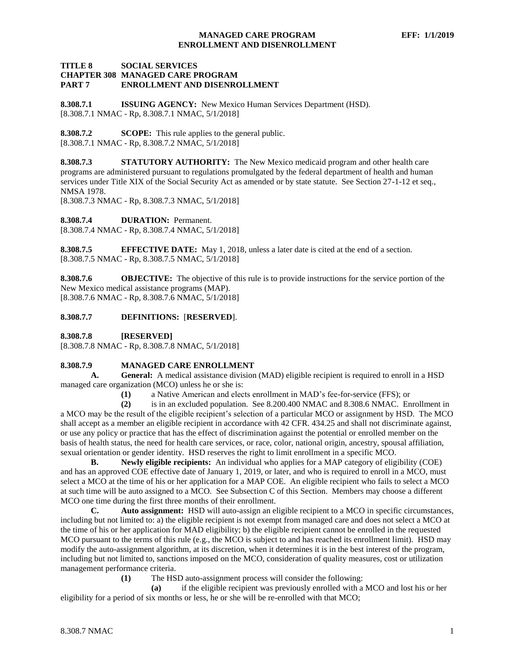#### **TITLE 8 SOCIAL SERVICES CHAPTER 308 MANAGED CARE PROGRAM PART 7 ENROLLMENT AND DISENROLLMENT**

<span id="page-1-0"></span>**8.308.7.1 ISSUING AGENCY:** New Mexico Human Services Department (HSD). [8.308.7.1 NMAC - Rp, 8.308.7.1 NMAC, 5/1/2018]

<span id="page-1-1"></span>**8.308.7.2 SCOPE:** This rule applies to the general public. [8.308.7.1 NMAC - Rp, 8.308.7.2 NMAC, 5/1/2018]

<span id="page-1-2"></span>**8.308.7.3 STATUTORY AUTHORITY:** The New Mexico medicaid program and other health care programs are administered pursuant to regulations promulgated by the federal department of health and human services under Title XIX of the Social Security Act as amended or by state statute. See Section 27-1-12 et seq., NMSA 1978.

[8.308.7.3 NMAC - Rp, 8.308.7.3 NMAC, 5/1/2018]

<span id="page-1-3"></span>**8.308.7.4 DURATION:** Permanent.

[8.308.7.4 NMAC - Rp, 8.308.7.4 NMAC, 5/1/2018]

<span id="page-1-4"></span>**8.308.7.5 EFFECTIVE DATE:** May 1, 2018, unless a later date is cited at the end of a section. [8.308.7.5 NMAC - Rp, 8.308.7.5 NMAC, 5/1/2018]

<span id="page-1-5"></span>**8.308.7.6 OBJECTIVE:** The objective of this rule is to provide instructions for the service portion of the New Mexico medical assistance programs (MAP). [8.308.7.6 NMAC - Rp, 8.308.7.6 NMAC, 5/1/2018]

<span id="page-1-6"></span>**8.308.7.7 DEFINITIONS:** [**RESERVED**].

<span id="page-1-7"></span>**8.308.7.8 [RESERVED]**

[8.308.7.8 NMAC - Rp, 8.308.7.8 NMAC, 5/1/2018]

### <span id="page-1-8"></span>**8.308.7.9 MANAGED CARE ENROLLMENT**

**A. General:** A medical assistance division (MAD) eligible recipient is required to enroll in a HSD managed care organization (MCO) unless he or she is:

**(1)** a Native American and elects enrollment in MAD's fee-for-service (FFS); or

**(2)** is in an excluded population. See 8.200.400 NMAC and 8.308.6 NMAC. Enrollment in a MCO may be the result of the eligible recipient's selection of a particular MCO or assignment by HSD. The MCO shall accept as a member an eligible recipient in accordance with 42 CFR. 434.25 and shall not discriminate against, or use any policy or practice that has the effect of discrimination against the potential or enrolled member on the basis of health status, the need for health care services, or race, color, national origin, ancestry, spousal affiliation, sexual orientation or gender identity. HSD reserves the right to limit enrollment in a specific MCO.

**B. Newly eligible recipients:** An individual who applies for a MAP category of eligibility (COE) and has an approved COE effective date of January 1, 2019, or later, and who is required to enroll in a MCO, must select a MCO at the time of his or her application for a MAP COE. An eligible recipient who fails to select a MCO at such time will be auto assigned to a MCO. See Subsection C of this Section. Members may choose a different MCO one time during the first three months of their enrollment.

**C. Auto assignment:** HSD will auto-assign an eligible recipient to a MCO in specific circumstances, including but not limited to: a) the eligible recipient is not exempt from managed care and does not select a MCO at the time of his or her application for MAD eligibility; b) the eligible recipient cannot be enrolled in the requested MCO pursuant to the terms of this rule (e.g., the MCO is subject to and has reached its enrollment limit). HSD may modify the auto-assignment algorithm, at its discretion, when it determines it is in the best interest of the program, including but not limited to, sanctions imposed on the MCO, consideration of quality measures, cost or utilization management performance criteria.

**(1)** The HSD auto-assignment process will consider the following:

**(a)** if the eligible recipient was previously enrolled with a MCO and lost his or her eligibility for a period of six months or less, he or she will be re-enrolled with that MCO;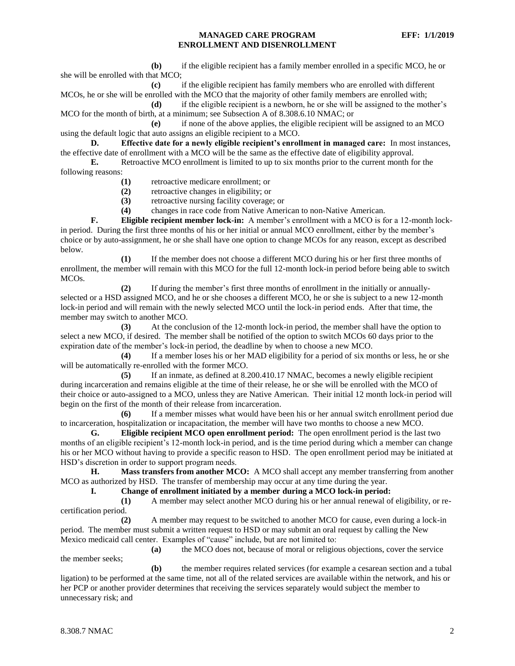**(b)** if the eligible recipient has a family member enrolled in a specific MCO, he or she will be enrolled with that MCO;

**(c)** if the eligible recipient has family members who are enrolled with different MCOs, he or she will be enrolled with the MCO that the majority of other family members are enrolled with;

**(d)** if the eligible recipient is a newborn, he or she will be assigned to the mother's MCO for the month of birth, at a minimum; see Subsection A of 8.308.6.10 NMAC; or

**(e)** if none of the above applies, the eligible recipient will be assigned to an MCO using the default logic that auto assigns an eligible recipient to a MCO.

**D. Effective date for a newly eligible recipient's enrollment in managed care:** In most instances, the effective date of enrollment with a MCO will be the same as the effective date of eligibility approval.

**E.** Retroactive MCO enrollment is limited to up to six months prior to the current month for the following reasons:

- **(1)** retroactive medicare enrollment; or
- **(2)** retroactive changes in eligibility; or
- **(3)** retroactive nursing facility coverage; or

**(4)** changes in race code from Native American to non-Native American.

**F. Eligible recipient member lock-in:** A member's enrollment with a MCO is for a 12-month lockin period. During the first three months of his or her initial or annual MCO enrollment, either by the member's choice or by auto-assignment, he or she shall have one option to change MCOs for any reason, except as described below.

**(1)** If the member does not choose a different MCO during his or her first three months of enrollment, the member will remain with this MCO for the full 12-month lock-in period before being able to switch MCOs.

**(2)** If during the member's first three months of enrollment in the initially or annuallyselected or a HSD assigned MCO, and he or she chooses a different MCO, he or she is subject to a new 12-month lock-in period and will remain with the newly selected MCO until the lock-in period ends. After that time, the member may switch to another MCO.

**(3)** At the conclusion of the 12-month lock-in period, the member shall have the option to select a new MCO, if desired. The member shall be notified of the option to switch MCOs 60 days prior to the expiration date of the member's lock-in period, the deadline by when to choose a new MCO.

**(4)** If a member loses his or her MAD eligibility for a period of six months or less, he or she will be automatically re-enrolled with the former MCO.

**(5)** If an inmate, as defined at 8.200.410.17 NMAC, becomes a newly eligible recipient during incarceration and remains eligible at the time of their release, he or she will be enrolled with the MCO of their choice or auto-assigned to a MCO, unless they are Native American. Their initial 12 month lock-in period will begin on the first of the month of their release from incarceration.

**(6)** If a member misses what would have been his or her annual switch enrollment period due to incarceration, hospitalization or incapacitation, the member will have two months to choose a new MCO.

**G. Eligible recipient MCO open enrollment period:** The open enrollment period is the last two months of an eligible recipient's 12-month lock-in period, and is the time period during which a member can change his or her MCO without having to provide a specific reason to HSD. The open enrollment period may be initiated at HSD's discretion in order to support program needs.

**H. Mass transfers from another MCO:** A MCO shall accept any member transferring from another MCO as authorized by HSD. The transfer of membership may occur at any time during the year.

**I. Change of enrollment initiated by a member during a MCO lock-in period:**

**(1)** A member may select another MCO during his or her annual renewal of eligibility, or recertification period.

**(2)** A member may request to be switched to another MCO for cause, even during a lock-in period. The member must submit a written request to HSD or may submit an oral request by calling the New Mexico medicaid call center. Examples of "cause" include, but are not limited to:

**(a)** the MCO does not, because of moral or religious objections, cover the service the member seeks;

**(b)** the member requires related services (for example a cesarean section and a tubal ligation) to be performed at the same time, not all of the related services are available within the network, and his or her PCP or another provider determines that receiving the services separately would subject the member to unnecessary risk; and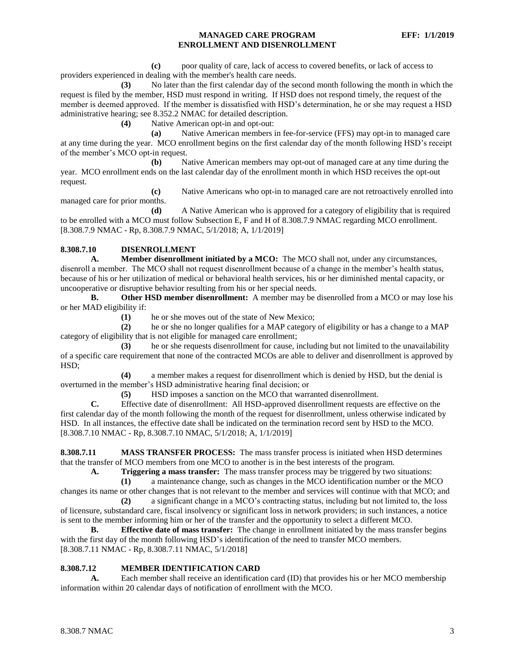**(c)** poor quality of care, lack of access to covered benefits, or lack of access to providers experienced in dealing with the member's health care needs.

**(3)** No later than the first calendar day of the second month following the month in which the request is filed by the member, HSD must respond in writing. If HSD does not respond timely, the request of the member is deemed approved. If the member is dissatisfied with HSD's determination, he or she may request a HSD administrative hearing; see 8.352.2 NMAC for detailed description.

**(4)** Native American opt-in and opt-out:

**(a)** Native American members in fee-for-service (FFS) may opt-in to managed care at any time during the year. MCO enrollment begins on the first calendar day of the month following HSD's receipt of the member's MCO opt-in request.

**(b)** Native American members may opt-out of managed care at any time during the year. MCO enrollment ends on the last calendar day of the enrollment month in which HSD receives the opt-out request.

**(c)** Native Americans who opt-in to managed care are not retroactively enrolled into managed care for prior months.

**(d)** A Native American who is approved for a category of eligibility that is required to be enrolled with a MCO must follow Subsection E, F and H of 8.308.7.9 NMAC regarding MCO enrollment. [8.308.7.9 NMAC - Rp, 8.308.7.9 NMAC, 5/1/2018; A, 1/1/2019]

### <span id="page-3-0"></span>**8.308.7.10 DISENROLLMENT**

**A. Member disenrollment initiated by a MCO:** The MCO shall not, under any circumstances, disenroll a member. The MCO shall not request disenrollment because of a change in the member's health status, because of his or her utilization of medical or behavioral health services, his or her diminished mental capacity, or uncooperative or disruptive behavior resulting from his or her special needs.

**B. Other HSD member disenrollment:** A member may be disenrolled from a MCO or may lose his or her MAD eligibility if:

**(1)** he or she moves out of the state of New Mexico;

**(2)** he or she no longer qualifies for a MAP category of eligibility or has a change to a MAP category of eligibility that is not eligible for managed care enrollment;

**(3)** he or she requests disenrollment for cause, including but not limited to the unavailability of a specific care requirement that none of the contracted MCOs are able to deliver and disenrollment is approved by HSD;

**(4)** a member makes a request for disenrollment which is denied by HSD, but the denial is overturned in the member's HSD administrative hearing final decision; or

**(5)** HSD imposes a sanction on the MCO that warranted disenrollment.

**C.** Effective date of disenrollment: All HSD-approved disenrollment requests are effective on the first calendar day of the month following the month of the request for disenrollment, unless otherwise indicated by HSD. In all instances, the effective date shall be indicated on the termination record sent by HSD to the MCO. [8.308.7.10 NMAC - Rp, 8.308.7.10 NMAC, 5/1/2018; A, 1/1/2019]

<span id="page-3-1"></span>**8.308.7.11 MASS TRANSFER PROCESS:** The mass transfer process is initiated when HSD determines that the transfer of MCO members from one MCO to another is in the best interests of the program.

**A. Triggering a mass transfer:** The mass transfer process may be triggered by two situations:

**(1)** a maintenance change, such as changes in the MCO identification number or the MCO changes its name or other changes that is not relevant to the member and services will continue with that MCO; and

**(2)** a significant change in a MCO's contracting status, including but not limited to, the loss of licensure, substandard care, fiscal insolvency or significant loss in network providers; in such instances, a notice is sent to the member informing him or her of the transfer and the opportunity to select a different MCO.

**B. Effective date of mass transfer:** The change in enrollment initiated by the mass transfer begins with the first day of the month following HSD's identification of the need to transfer MCO members. [8.308.7.11 NMAC - Rp, 8.308.7.11 NMAC, 5/1/2018]

### <span id="page-3-2"></span>**8.308.7.12 MEMBER IDENTIFICATION CARD**

**A.** Each member shall receive an identification card (ID) that provides his or her MCO membership information within 20 calendar days of notification of enrollment with the MCO.